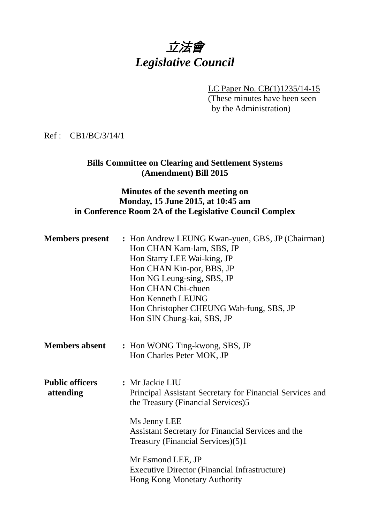

LC Paper No. CB(1)1235/14-15 (These minutes have been seen by the Administration)

#### Ref : CB1/BC/3/14/1

### **Bills Committee on Clearing and Settlement Systems (Amendment) Bill 2015**

### **Minutes of the seventh meeting on Monday, 15 June 2015, at 10:45 am in Conference Room 2A of the Legislative Council Complex**

| <b>Members</b> present              | : Hon Andrew LEUNG Kwan-yuen, GBS, JP (Chairman)<br>Hon CHAN Kam-lam, SBS, JP<br>Hon Starry LEE Wai-king, JP<br>Hon CHAN Kin-por, BBS, JP<br>Hon NG Leung-sing, SBS, JP<br>Hon CHAN Chi-chuen<br><b>Hon Kenneth LEUNG</b><br>Hon Christopher CHEUNG Wah-fung, SBS, JP<br>Hon SIN Chung-kai, SBS, JP                                       |
|-------------------------------------|-------------------------------------------------------------------------------------------------------------------------------------------------------------------------------------------------------------------------------------------------------------------------------------------------------------------------------------------|
| <b>Members absent</b>               | : Hon WONG Ting-kwong, SBS, JP<br>Hon Charles Peter MOK, JP                                                                                                                                                                                                                                                                               |
| <b>Public officers</b><br>attending | : Mr Jackie LIU<br>Principal Assistant Secretary for Financial Services and<br>the Treasury (Financial Services)5<br>Ms Jenny LEE<br>Assistant Secretary for Financial Services and the<br>Treasury (Financial Services)(5)1<br>Mr Esmond LEE, JP<br><b>Executive Director (Financial Infrastructure)</b><br>Hong Kong Monetary Authority |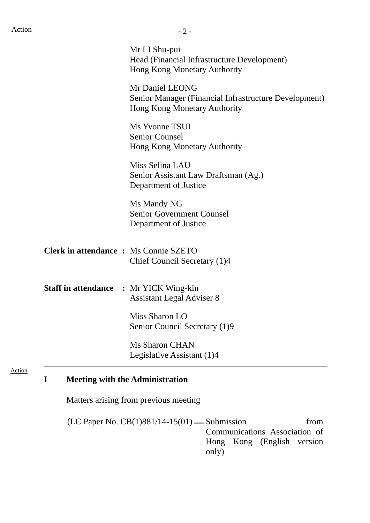| Mr LI Shu-pui                                                                                            |
|----------------------------------------------------------------------------------------------------------|
| Head (Financial Infrastructure Development)<br>Hong Kong Monetary Authority                              |
| Mr Daniel LEONG<br>Senior Manager (Financial Infrastructure Development)<br>Hong Kong Monetary Authority |
| Ms Yvonne TSUI<br><b>Senior Counsel</b><br>Hong Kong Monetary Authority                                  |
| Miss Selina LAU<br>Senior Assistant Law Draftsman (Ag.)<br>Department of Justice                         |
| Ms Mandy NG<br><b>Senior Government Counsel</b><br>Department of Justice                                 |
| <b>Clerk in attendance : Ms Connie SZETO</b><br>Chief Council Secretary (1)4                             |
| <b>Staff in attendance : Mr YICK Wing-kin</b><br><b>Assistant Legal Adviser 8</b>                        |
| Miss Sharon LO<br>Senior Council Secretary (1)9                                                          |
| <b>Ms Sharon CHAN</b><br>Legislative Assistant (1)4                                                      |
|                                                                                                          |

# **I Meeting with the Administration**

Matters arising from previous meeting

 $(LC$  Paper No.  $CB(1)881/14-15(01)$  Submission from Communications Association of Hong Kong (English version only)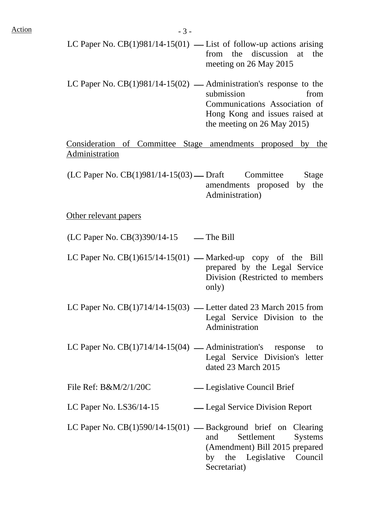- LC Paper No.  $CB(1)981/14-15(01)$  List of follow-up actions arising from the discussion at the meeting on 26 May 2015
- LC Paper No.  $CB(1)981/14-15(02)$  Administration's response to the submission from Communications Association of Hong Kong and issues raised at the meeting on 26 May 2015)

Consideration of Committee Stage amendments proposed by the Administration

 $(LC$  Paper No.  $CB(1)981/14-15(03)$  — Draft Committee Stage amendments proposed by the Administration)

#### Other relevant papers

 $(LC$  Paper No.  $CB(3)390/14-15$  — The Bill

- LC Paper No.  $CB(1)615/14-15(01)$  Marked-up copy of the Bill prepared by the Legal Service Division (Restricted to members only)
- LC Paper No.  $CB(1)714/14-15(03)$  Letter dated 23 March 2015 from Legal Service Division to the Administration
- LC Paper No.  $CB(1)714/14-15(04)$  Administration's response to Legal Service Division's letter dated 23 March 2015
- File Ref: B&M/2/1/20C Legislative Council Brief
- LC Paper No. LS36/14-15 ⎯ Legal Service Division Report
- LC Paper No.  $CB(1)590/14-15(01)$  Background brief on Clearing and Settlement Systems (Amendment) Bill 2015 prepared by the Legislative Council Secretariat)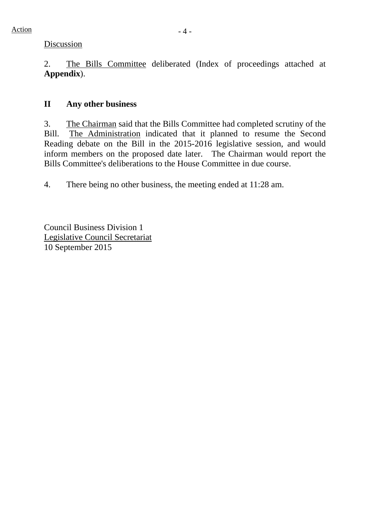2. The Bills Committee deliberated (Index of proceedings attached at **Appendix**).

## **II Any other business**

3. The Chairman said that the Bills Committee had completed scrutiny of the Bill. The Administration indicated that it planned to resume the Second Reading debate on the Bill in the 2015-2016 legislative session, and would inform members on the proposed date later. The Chairman would report the Bills Committee's deliberations to the House Committee in due course.

4. There being no other business, the meeting ended at 11:28 am.

Council Business Division 1 Legislative Council Secretariat 10 September 2015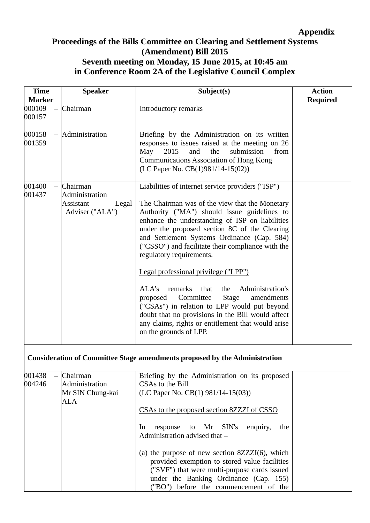### **Appendix**

### **Proceedings of the Bills Committee on Clearing and Settlement Systems (Amendment) Bill 2015 Seventh meeting on Monday, 15 June 2015, at 10:45 am in Conference Room 2A of the Legislative Council Complex**

| <b>Time</b><br><b>Marker</b> | <b>Speaker</b>                                                             | Subject(s)                                                                                                                                                                                                                                                                                                                                                                                                                                                                                                                                                                                   | <b>Action</b><br><b>Required</b> |
|------------------------------|----------------------------------------------------------------------------|----------------------------------------------------------------------------------------------------------------------------------------------------------------------------------------------------------------------------------------------------------------------------------------------------------------------------------------------------------------------------------------------------------------------------------------------------------------------------------------------------------------------------------------------------------------------------------------------|----------------------------------|
| 000109<br>000157             | Chairman                                                                   | Introductory remarks                                                                                                                                                                                                                                                                                                                                                                                                                                                                                                                                                                         |                                  |
| 000158<br>001359             | Administration                                                             | Briefing by the Administration on its written<br>responses to issues raised at the meeting on 26<br>May<br>2015<br>submission<br>and<br>the<br>from<br><b>Communications Association of Hong Kong</b><br>(LC Paper No. $CB(1)981/14-15(02)$ )                                                                                                                                                                                                                                                                                                                                                |                                  |
| 001400<br>001437             | Chairman<br>Administration<br><b>Assistant</b><br>Legal<br>Adviser ("ALA") | Liabilities of internet service providers ("ISP")<br>The Chairman was of the view that the Monetary<br>Authority ("MA") should issue guidelines to<br>enhance the understanding of ISP on liabilities<br>under the proposed section 8C of the Clearing<br>and Settlement Systems Ordinance (Cap. 584)<br>("CSSO") and facilitate their compliance with the<br>regulatory requirements.<br>Legal professional privilege ("LPP")<br>Administration's<br>ALA's<br>remarks<br>that<br>the<br>Committee<br><b>Stage</b><br>amendments<br>proposed<br>("CSAs") in relation to LPP would put beyond |                                  |
|                              |                                                                            | doubt that no provisions in the Bill would affect<br>any claims, rights or entitlement that would arise<br>on the grounds of LPP.<br><b>Consideration of Committee Stage amendments proposed by the Administration</b>                                                                                                                                                                                                                                                                                                                                                                       |                                  |
| 001438<br>004246             | Chairman<br>Administration<br>Mr SIN Chung-kai<br>ALA                      | Briefing by the Administration on its proposed<br>CSAs to the Bill<br>(LC Paper No. CB(1) 981/14-15(03))<br>CSAs to the proposed section 8ZZZI of CSSO<br>to Mr SIN's<br>enquiry,<br>In<br>response<br>the<br>Administration advised that -                                                                                                                                                                                                                                                                                                                                                  |                                  |
|                              |                                                                            | (a) the purpose of new section $8ZZZI(6)$ , which<br>provided exemption to stored value facilities<br>("SVF") that were multi-purpose cards issued<br>under the Banking Ordinance (Cap. 155)<br>("BO") before the commencement of the                                                                                                                                                                                                                                                                                                                                                        |                                  |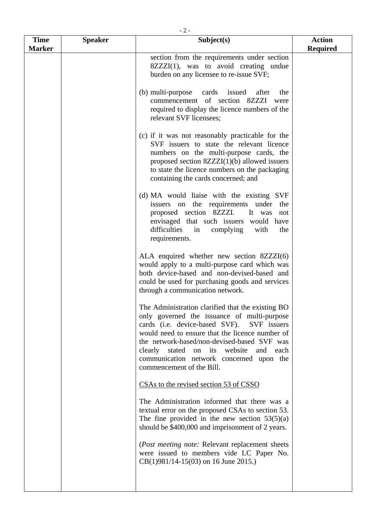| <b>Time</b>   | <b>Speaker</b> | Subject(s)                                                                                                                                                                                                                                                                                                                                                                   | <b>Action</b>   |
|---------------|----------------|------------------------------------------------------------------------------------------------------------------------------------------------------------------------------------------------------------------------------------------------------------------------------------------------------------------------------------------------------------------------------|-----------------|
| <b>Marker</b> |                |                                                                                                                                                                                                                                                                                                                                                                              | <b>Required</b> |
|               |                | section from the requirements under section<br>$8ZZZI(1)$ , was to avoid creating undue<br>burden on any licensee to re-issue SVF;                                                                                                                                                                                                                                           |                 |
|               |                | (b) multi-purpose<br>cards<br>issued<br>after<br>the<br>commencement of section 8ZZZI<br>were<br>required to display the licence numbers of the<br>relevant SVF licensees;                                                                                                                                                                                                   |                 |
|               |                | (c) if it was not reasonably practicable for the<br>SVF issuers to state the relevant licence<br>numbers on the multi-purpose cards, the<br>proposed section $8ZZZI(1)(b)$ allowed issuers<br>to state the licence numbers on the packaging<br>containing the cards concerned; and                                                                                           |                 |
|               |                | (d) MA would liaise with the existing SVF<br>issuers on the requirements<br>under the<br>proposed section 8ZZZI.<br>It was<br>not<br>envisaged that such issuers would have<br>difficulties<br>complying<br>with<br>in<br>the<br>requirements.                                                                                                                               |                 |
|               |                | ALA enquired whether new section $8ZZZI(6)$<br>would apply to a multi-purpose card which was<br>both device-based and non-devised-based and<br>could be used for purchasing goods and services<br>through a communication network.                                                                                                                                           |                 |
|               |                | The Administration clarified that the existing BO<br>only governed the issuance of multi-purpose<br>cards (i.e. device-based SVF). SVF issuers<br>would need to ensure that the licence number of<br>the network-based/non-devised-based SVF was<br>clearly stated on its<br>website<br>and<br>each<br>communication network concerned upon the<br>commencement of the Bill. |                 |
|               |                | CSAs to the revised section 53 of CSSO                                                                                                                                                                                                                                                                                                                                       |                 |
|               |                | The Administration informed that there was a<br>textual error on the proposed CSAs to section 53.<br>The fine provided in the new section $53(5)(a)$<br>should be \$400,000 and imprisonment of 2 years.                                                                                                                                                                     |                 |
|               |                | (Post meeting note: Relevant replacement sheets<br>were issued to members vide LC Paper No.                                                                                                                                                                                                                                                                                  |                 |

CB(1)981/14-15(03) on 16 June 2015.)